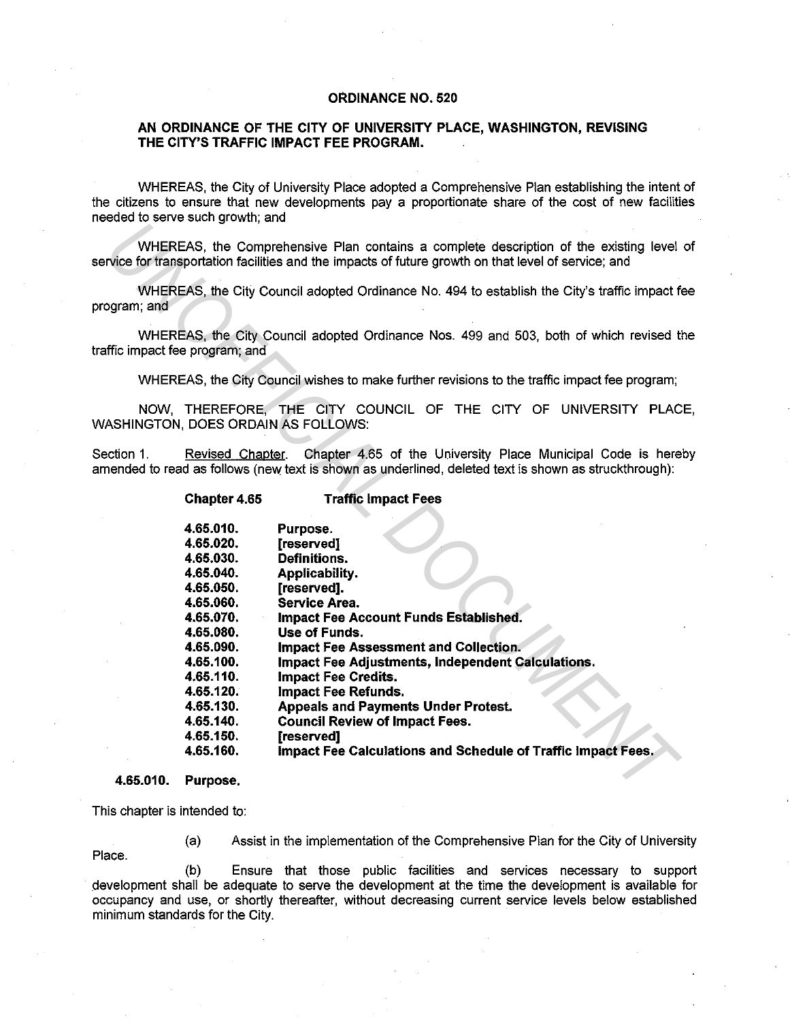### **ORDINANCE NO. 520**

### **AN ORDINANCE OF THE CITY OF UNIVERSITY PLACE, WASHINGTON, REVISING THE CITY'S TRAFFIC IMPACT FEE PROGRAM.**

WHEREAS, the City of University Place adopted a Comprehensive Plan establishing the intent of the citizens to ensure that new developments pay a proportionate share of the cost of new facilities needed to serve such growth; and

WHEREAS, the Comprehensive Plan contains a complete description of the existing level of service for transportation facilities and the impacts of future growth on that level of service; and

WHEREAS, the City Council adopted Ordinance No. 494 to establish the City's traffic impact fee program; and

WHEREAS, the City Council adopted Ordinance Nos. 499 and 503, both of which revised the traffic impact fee program; and

NOW, THEREFORE, THE CITY COUNCIL OF THE CITY OF UNIVERSITY PLACE, WASHINGTON, DOES ORDAIN AS FOLLOWS:

Section 1. Revised Chapter. Chapter 4.65 of the University Place Municipal Code is hereby amended to read as follows (new text is shown as underlined, deleted text is shown as struckthrough):

|            |                                                                                                                                                                                                             | WHEREAS, the Comprehensive Plan contains a complete description of the existing level<br>rvice for transportation facilities and the impacts of future growth on that level of service; and                                                                                                                                                                                                                                                                                                            |
|------------|-------------------------------------------------------------------------------------------------------------------------------------------------------------------------------------------------------------|--------------------------------------------------------------------------------------------------------------------------------------------------------------------------------------------------------------------------------------------------------------------------------------------------------------------------------------------------------------------------------------------------------------------------------------------------------------------------------------------------------|
| ogram; and |                                                                                                                                                                                                             | WHEREAS, the City Council adopted Ordinance No. 494 to establish the City's traffic impact for                                                                                                                                                                                                                                                                                                                                                                                                         |
|            | ffic impact fee program; and                                                                                                                                                                                | WHEREAS, the City Council adopted Ordinance Nos. 499 and 503, both of which revised ti                                                                                                                                                                                                                                                                                                                                                                                                                 |
|            |                                                                                                                                                                                                             | WHEREAS, the City Council wishes to make further revisions to the traffic impact fee program;                                                                                                                                                                                                                                                                                                                                                                                                          |
|            |                                                                                                                                                                                                             | NOW, THEREFORE, THE CITY COUNCIL OF THE CITY OF UNIVERSITY PLAC<br>ASHINGTON, DOES ORDAIN AS FOLLOWS:                                                                                                                                                                                                                                                                                                                                                                                                  |
| ction 1.   | Revised Chapter.                                                                                                                                                                                            | Chapter 4.65 of the University Place Municipal Code is here<br>nended to read as follows (new text is shown as underlined, deleted text is shown as struckthrough):                                                                                                                                                                                                                                                                                                                                    |
|            | Chapter 4.65                                                                                                                                                                                                | <b>Traffic Impact Fees</b>                                                                                                                                                                                                                                                                                                                                                                                                                                                                             |
|            | 4.65.010.<br>4.65.020.<br>4.65.030.<br>4.65.040<br>4.65.050.<br>4.65.060.<br>4.65.070.<br>4.65.080.<br>4.65.090.<br>4.65.100.<br>4.65.110.<br>4.65.120.<br>4.65.130.<br>4.65.140.<br>4.65.150.<br>4.65.160. | Purpose.<br>[reserved]<br>Definitions.<br><b>Applicability.</b><br>[reserved].<br>Service Area.<br>Impact Fee Account Funds Established.<br>Use of Funds.<br><b>Impact Fee Assessment and Collection.</b><br><b>Impact Fee Adjustments, Independent Calculations.</b><br><b>Impact Fee Credits.</b><br><b>Impact Fee Refunds.</b><br><b>Appeals and Payments Under Protest.</b><br><b>Council Review of Impact Fees.</b><br>[reserved]<br>Impact Fee Calculations and Schedule of Traffic Impact Fees. |
| 4.65.010.  | Purpose.                                                                                                                                                                                                    |                                                                                                                                                                                                                                                                                                                                                                                                                                                                                                        |

### **4.65.010. Purpose.**

This chapter is intended to:

Place.

(a) Assist in the implementation of the Comprehensive Plan for the City of University

(b) Ensure that those public facilities and services necessary to support development shall be adequate to serve the development at the time the development is available for occupancy and use, or shortly thereafter, without decreasing current service levels below established minimum standards for the City.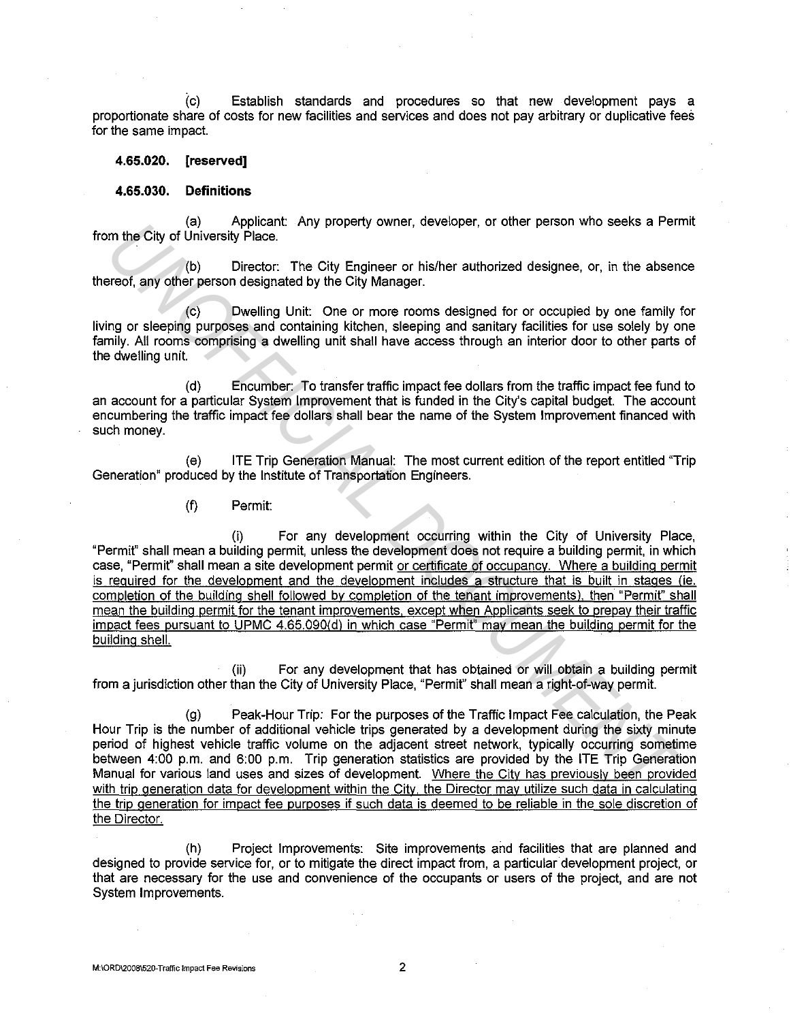{c) Establish standards and procedures so that new development pays a proportionate share of costs for new facilities and services and does not pay arbitrary or duplicative fees for the same impact.

### **4.65.020. [reserved]**

### **4.65.030. Definitions**

(a) Applicant: Any property owner, developer, or other person who seeks a Permit from the City of University Place.

(b) Director: The City Engineer or his/her authorized designee, or, in the absence thereof, any other person designated by the City Manager.

(c) Dwelling Unit: One or more rooms designed for or occupied by one family for living or sleeping purposes and containing kitchen, sleeping and sanitary facilities for use solely by one family. All rooms comprising a dwelling unit shall have access through an interior door to other parts of the dwelling unit.

(d) Encumber: To transfer traffic impact fee dollars from the traffic impact fee fund to an account for a particular System Improvement that is funded in the City's capital budget. The account encumbering the traffic impact fee dollars shall bear the name of the System Improvement financed with such money.

(e) ITE Trip Generation Manual: The most current edition of the report entitled "Trip Generation" produced by the Institute of Transportation Engineers.

### (f) Permit:

(i) For any development occurring within the City of University Place, "Permit" shall mean a building permit, unless the development does not require a building permit, in which case, "Permit" shall mean a site development permit or certificate of occupancy. Where a building permit is required for the development and the development includes a structure that is built in stages (ie. completion of the building shell followed by completion of the tenant improvements). then "Permit" shall mean the building permit for the tenant improvements. except when Applicants seek to prepay their traffic impact fees pursuant to UPMC 4.65.090(d) in which case "Permit" may mean the building permit for the building shell. im the City of University Place.<br> **Example 12** Applicant Any property comes, developer, or other person who seeks a rem<br>
Fred. any other person designated by the City Engineer or his/her authorized designee, or, in the abs

(ii) For any development that has obtained or will obtain a building permit from a jurisdiction other than the City of University Place, "Permit" shall mean a right-of-way permit.

(g) Peak-Hour Trip: For the purposes of the Traffic Impact Fee calculation, the Peak Hour Trip is the number of additional vehicle trips generated by a development during the sixty minute period of highest vehicle traffic volume on the adjacent street network, typically occurring sometime between 4:00 p.m. and 6:00 p.m. Trip generation statistics are provided by the ITE Trip Generation Manual for various land uses and sizes of development. Where the City has previously been provided with trip generation data for development within the City, the Director may utilize such data in calculating the trip generation for impact fee purposes if such data is deemed to be reliable in the sole discretion of the Director.

(h) Project Improvements: Site improvements and facilities that are planned and designed to provide service for, or to mitigate the direct impact from, a particular development project, or that are necessary for the use and convenience of the occupants or users of the project, and are not System Improvements.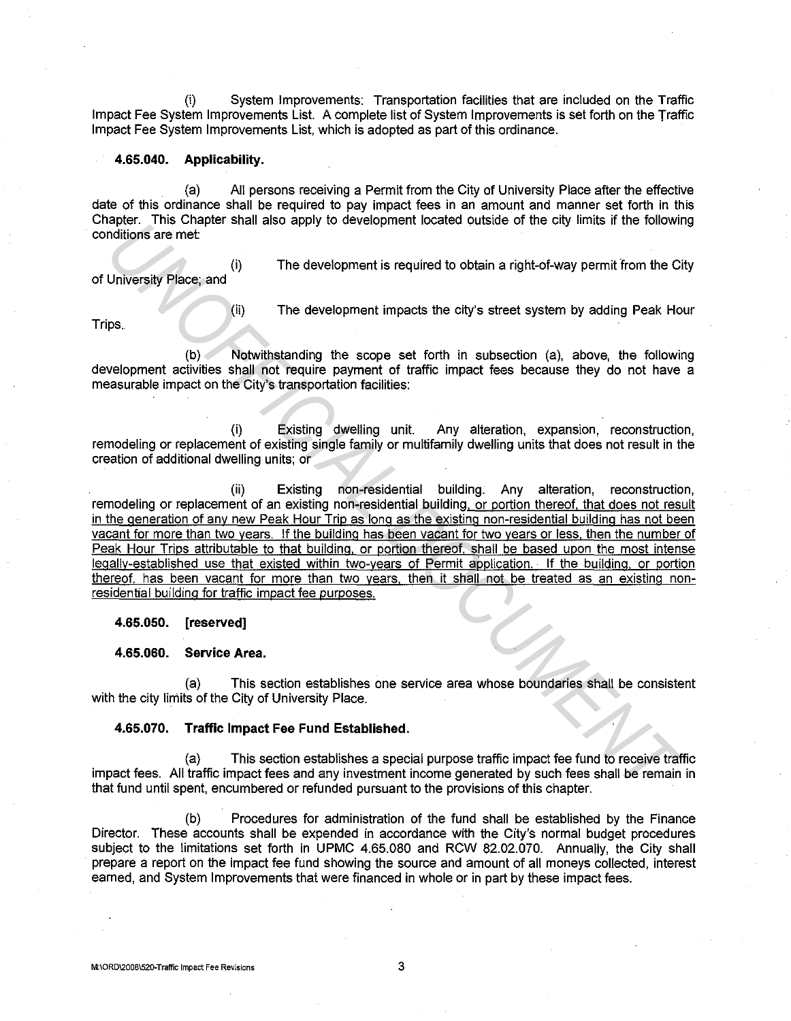(i) System Improvements: Transportation facilities that are included on the Traffic Impact Fee System Improvements List. A complete list of System Improvements is set forth on the Traffic Impact Fee System Improvements List, which is adopted as part of this ordinance.

### **4.65.040. Applicability.**

(a) All persons receiving a Permit from the City of University Place after the effective date of this ordinance shall be required to pay impact fees in an amount and manner set forth in this Chapter. This Chapter shall also apply to development located outside of the city limits if the following conditions are met:

(i) of University Place; and The development is required to obtain a right-of-way permit from the City

Trips.

(ii) The development impacts the city's street system by adding Peak Hour

Notwithstanding the scope set forth in subsection (a), above, the following development activities shall not require payment of traffic impact fees because they do not have a measurable impact on the City's transportation facilities:

(i) Existing dwelling unit. Any alteration, expansion, reconstruction, remodeling or replacement of existing single family or multifamily dwelling units that does not result in the creation of additional dwelling units; or

(ii) Existing non-residential building. Any alteration, reconstruction, remodeling or replacement of an existing non-residential building, or portion thereof, that does not result in the generation of any new Peak Hour Trip as long as the existing non-residential building has not been vacant for more than two years. If the building has been vacant for two years or less, then the number of Peak Hour Trips attributable to that building, or portion thereof, shall be based upon the most intense legally-established use that existed within two-years of Permit application. If the building, or portion thereof, has been vacant for more than two years, then it shall not be treated as an existing nonresidential building for traffic impact fee purposes. my controllations are met<br>
diditions are met<br>
University Place; and<br>
(i) The development is required to obtain a right-of-way permit from the Ci<br>
University Place; and<br>
(i) The development impacts the city's street system

### **4.65.050. [reserved]**

### **4.65.060. Service Area.**

(a) This section establishes one service area whose boundaries shall be consistent with the city limits of the City of University Place.

### **4.65.070. Traffic Impact Fee Fund Established.**

(a) This section establishes a special purpose traffic impact fee fund to receive traffic impact fees. All traffic impact fees and any investment income generated by such fees shall be remain in that fund until spent, encumbered or refunded pursuant to the provisions of this chapter.

(b) Procedures for administration of the fund shall be established by the Finance Director. These accounts shall be expended in accordance with the City's normal budget procedures subject to the limitations set forth in UPMC 4.65.080 and RCW 82.02.070. Annually, the City shall prepare a report on the impact fee fund showing the source and amount of all moneys collected, interest earned, and System Improvements that were financed in whole or in part by these impact fees.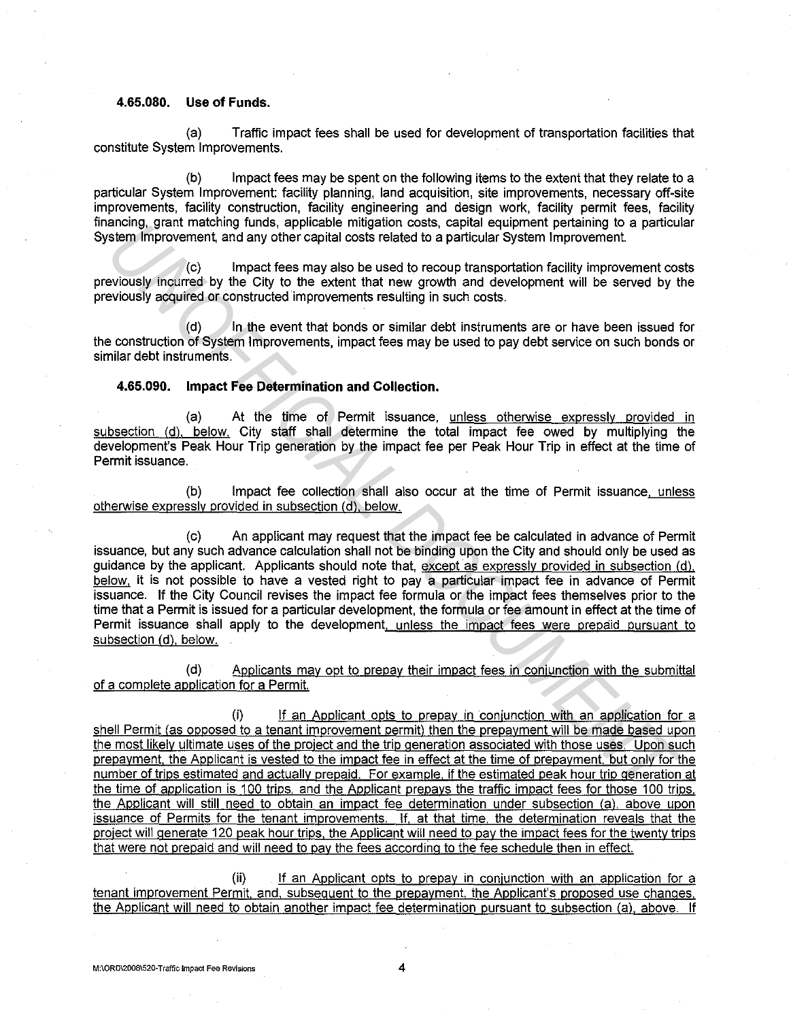### **4.65.080. Use of Funds.**

(a) Traffic impact fees shall be used for development of transportation facilities that constitute System Improvements.

(b) Impact fees may be spent on the following items to the extent that they relate to a particular System Improvement; facility planning, land acquisition, site improvements, necessary off-site improvements, facility construction, facility engineering and design work, facility permit fees, facility financing, grant matching funds, applicable mitigation costs, capital equipment pertaining to a particular System Improvement and any other capital costs related to a particular System Improvement

(c) Impact fees may also be used to recoup transportation facility improvement costs previously incurred by the City to the extent that new growth and development will be served by the previously acquired or constructed improvements resulting in such costs.

In the event that bonds or similar debt instruments are or have been issued for the construction of System Improvements, impact fees may be used to pay debt service on such bonds or similar debt instruments.

### **4.65.090. Impact Fee Determination and Collection.**

(a) At the time of Permit issuance, unless otherwise expressly provided in subsection (d), below, City staff shall determine the total impact fee owed by multiplying the development's Peak Hour Trip generation by the impact fee per Peak Hour Trip in effect at the time of Permit issuance.

(b) Impact fee collection shall also occur at the time of Permit issuance, unless otherwise expressly provided in subsection (d), below.

(c) An applicant may request that the impact fee be calculated in advance of Permit issuance, but any such advance calculation shall not be binding upon the City and should only be used as guidance by the applicant. Applicants should note that, except as expressly provided in subsection (d), below, it is not possible to have a vested right to pay a particular impact fee in advance of Permit issuance. If the City Council revises the impact fee formula or the impact fees themselves prior to the time that a Permit is issued for a particular development, the formula or fee amount in effect at the time of Permit issuance shall apply to the development, unless the impact fees were prepaid pursuant to subsection (d), below. arianny grad materiality threas, applicance mingator coest, capital equipment pertaining to a perfect to a particular System Improvement coesists capital costs related to a particular System Improvement coesists and the ex

(d) Applicants may opt to prepay their impact fees in conjunction with the submittal of a complete application for a Permit.

 $(i)$  If an Applicant opts to prepay in conjunction with an application for a shell Permit (as opposed to a tenant improvement permit) then the prepayment will be made based upon the most likely ultimate uses of the project and the trip generation associated with those uses. Upon such prepayment, the Applicant is vested to the impact fee in effect at the time of prepayment, but only for the number of trips estimated and actually prepaid. For example, if the estimated peak hour trip generation at the time of application is 100 trips, and the Applicant prepays the traffic impact fees for those 100 trips, the Applicant will still need to obtain an impact fee determination under subsection (a) above upon issuance of Permits for the tenant improvements. If, at that time, the determination reveals that the project will generate 120 peak hour trips, the Applicant will need to pay the impact fees for the twenty trips that were not prepaid and will need to pay the fees according to the fee schedule then in effect.

(ii) If an Applicant opts to prepay in conjunction with an application for a tenant improvement Permit. and, subsequent to the prepayment. the Applicant's proposed use changes, the Applicant will need to obtain another impact fee determination pursuant to subsection (a), above. If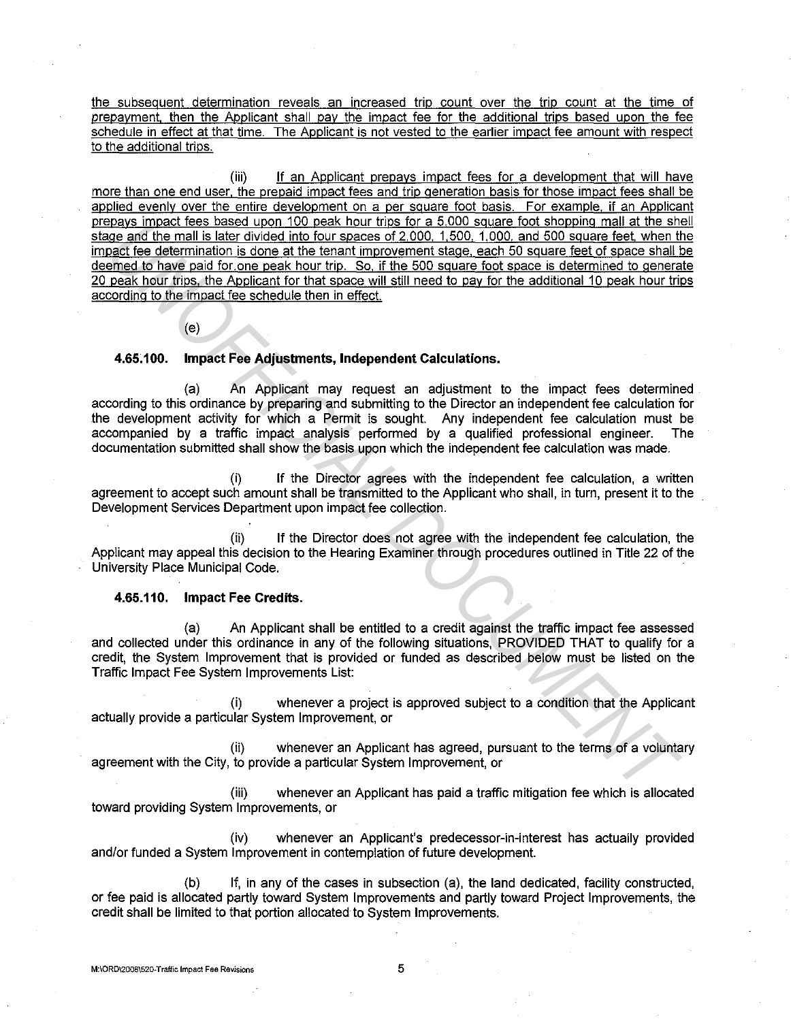the subsequent determination reveals an increased trip count over the trip count at the time of prepayment. then the Applicant shall pay the impact fee for the additional trips based upon the fee schedule in effect at that time. The Applicant is not vested to the earlier impact fee amount with respect to the additional trips.

(iii) If an Applicant prepays impact fees for a development that will have more than one end user. the prepaid impact fees and trip generation basis for those impact fees shall be applied evenly over the entire development on a per square foot basis. For example. if an Applicant prepays impact fees based upon 100 peak hour trips for a 5.000 square foot shopping mall at the shell stage and the mall is later divided into four spaces of 2.000. 1.500, 1,000. and 500 square feet. when the impact fee determination is done at the tenant improvement stage. each 50 square feet of space shall be deemed to have paid for.one peak hour trip. So, if the 500 square foot space is determined to generate 20 peak hour trips, the Applicant for that space will still need to pay for the additional 10 peak hour trips according to the impact fee schedule then in effect. **Example these uses of 2000. State in the state with the contribution in the state of the method is done to the state of the term in the state of the state of the state of the state of the state of the state of the state o** 

(e)

### **4.65. 100. Impact Fee Adjustments, Independent Calculations.**

(a) An Applicant may request an adjustment to the impact fees determined according to this ordinance by preparing and submitting to the Director an independent fee calculation for the development activity for which a Permit is sought. Any independent fee calculation must be accompanied by a traffic impact analysis performed by a qualified professional engineer. The documentation submitted shall show the basis upon which the independent fee calculation was made.

(i) If the Director agrees with the independent fee calculation, a written agreement to accept such amount shall be transmitted to the Applicant who shall, in turn, present it to the Development Services Department upon impact fee collection.

(ii) If the Director does not agree with the independent fee calculation, the Applicant may appeal this decision to the Hearing Examiner through procedures outlined in Title 22 of the University Place Municipal Code.

### **4.65.110. Impact Fee Credits.**

(a) An Applicant shall be entitled to a credit against the traffic impact fee assessed and collected under this ordinance in any of the following situations, PROVIDED THAT to qualify for a credit, the System Improvement that is provided or funded as described below must be listed on the Traffic Impact Fee System Improvements List:

whenever a project is approved subject to a condition that the Applicant actually provide a particular System Improvement, or

(ii) whenever an Applicant has agreed, pursuant to the terms of a voluntary agreement with the City, to provide a particular System Improvement, or

(iii) whenever an Applicant has paid a traffic mitigation fee which is allocated toward providing System Improvements, or

(iv) whenever an Applicant's predecessor-in-interest has actually provided and/or funded a System Improvement in contemplation of future development.

(b) If, in any of the cases in subsection (a), the land dedicated, facility constructed, or fee paid is allocated partly toward System Improvements and partly toward Project Improvements, the credit shall be limited to that portion allocated to System Improvements.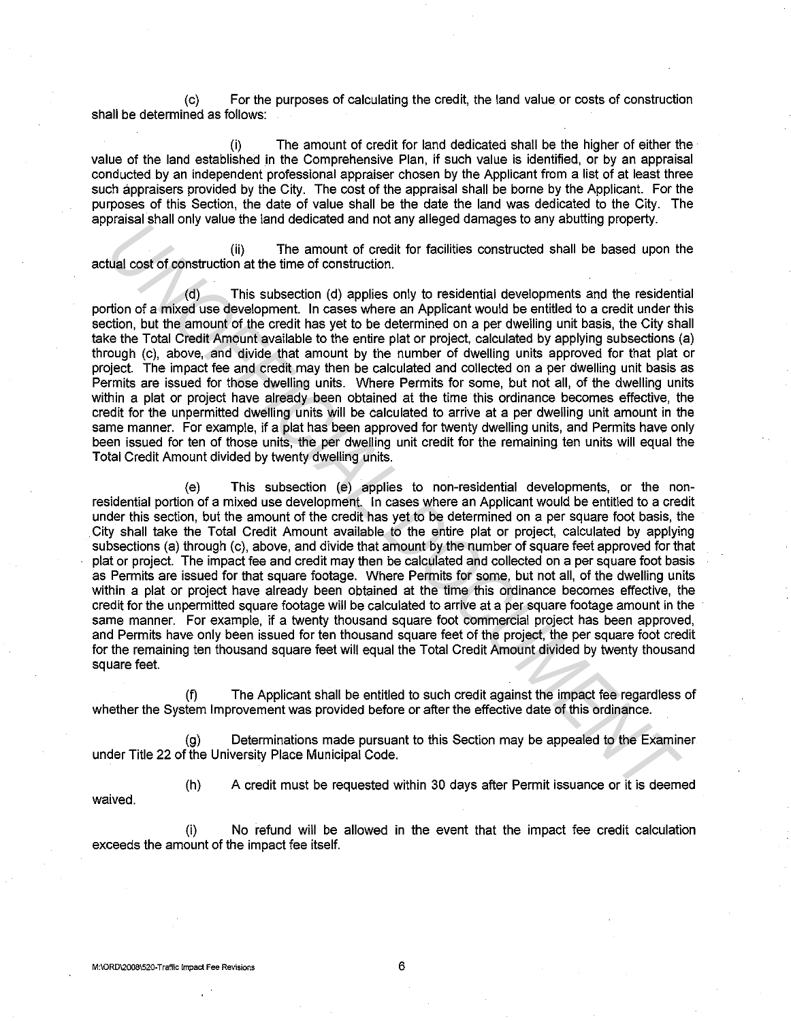(c) For the purposes of calculating the credit, the land value or costs of construction shall be determined as follows:

(i) The amount of credit for land dedicated shall be the higher of either the value of the land established in the Comprehensive Plan, if such value is identified, or by an appraisal conducted by an independent professional appraiser chosen by the Applicant from a list of at least three such appraisers provided by the City. The cost of the appraisal shall be borne by the Applicant. For the purposes of this Section, the date of value shall be the date the land was dedicated to the City. The appraisal shall only value the land dedicated and not any alleged damages to any abutting property.

(ii) The amount of credit for facilities constructed shall be based upon the actual cost of construction at the time of construction.

( d) This subsection ( d) applies only to residential developments and the residential portion of a mixed use development. In cases where an Applicant would be entitled to a credit under this section, but the amount of the credit has yet to be determined on a per dwelling unit basis, the City shall take the Total Credit Amount available to the entire plat or project, calculated by applying subsections (a) through (c), above, and divide that amount by the number of dwelling units approved for that plat or project. The impact fee and credit may then be calculated and collected on a per dwelling unit basis as Permits are issued for those dwelling units. Where Permits for some, but not all, of the dwelling units within a plat or project have already been obtained at the time this ordinance becomes effective, the credit for the unpermitted dwelling units will be calculated to arrive at a per dwelling unit amount in the same manner. For example, if a plat has been approved for twenty dwelling units, and Permits have only been issued for ten of those units, the per dwelling unit credit for the remaining ten units will equal the Total Credit Amount divided by twenty dwelling units.

(e) This subsection (e) applies to non-residential developments, or the nonresidential portion of a mixed use development. In cases where an Applicant would be entitled to a credit under this section, but the amount of the credit has yet to be determined on a per square foot basis, the City shall take the Total Credit Amount available to the entire plat or project, calculated by applying subsections (a) through (c), above, and divide that amount by the number of square feet approved for that plat or project. The impact fee and credit may then be calculated and collected on a per square foot basis as Permits are issued for that square footage. Where Permits for some, but not all, of the dwelling units within a plat or project have already been obtained at the time this ordinance becomes effective, the credit for the unpermitted square footage will be calculated to arrive at a per square footage amount in the same manner. For example, if a twenty thousand square foot commercial project has been approved, and Permits have only been issued for ten thousand square feet of the project, the per square foot credit for the remaining ten thousand square feet will equal the Total Credit Amount divided by twenty thousand square feet. pheasa shall olly value the land colucted and in the right of radiities constructed shall be based upon that cost of construction at the lime of construction.<br>
Ition of a mixed use development. In cases where an Applicant

(f) The Applicant shall be entitled to such credit against the impact fee regardless of whether the System Improvement was provided before or after the effective date of this ordinance.

(g) Determinations made pursuant to this Section may be appealed to the Examiner under Title 22 of the University Place Municipal Code.

waived.

(h) A credit must be requested within 30 days after Permit issuance or it is deemed

(i) No refund will be allowed in the event that the impact fee credit calculation exceeds the amount of the impact fee itself.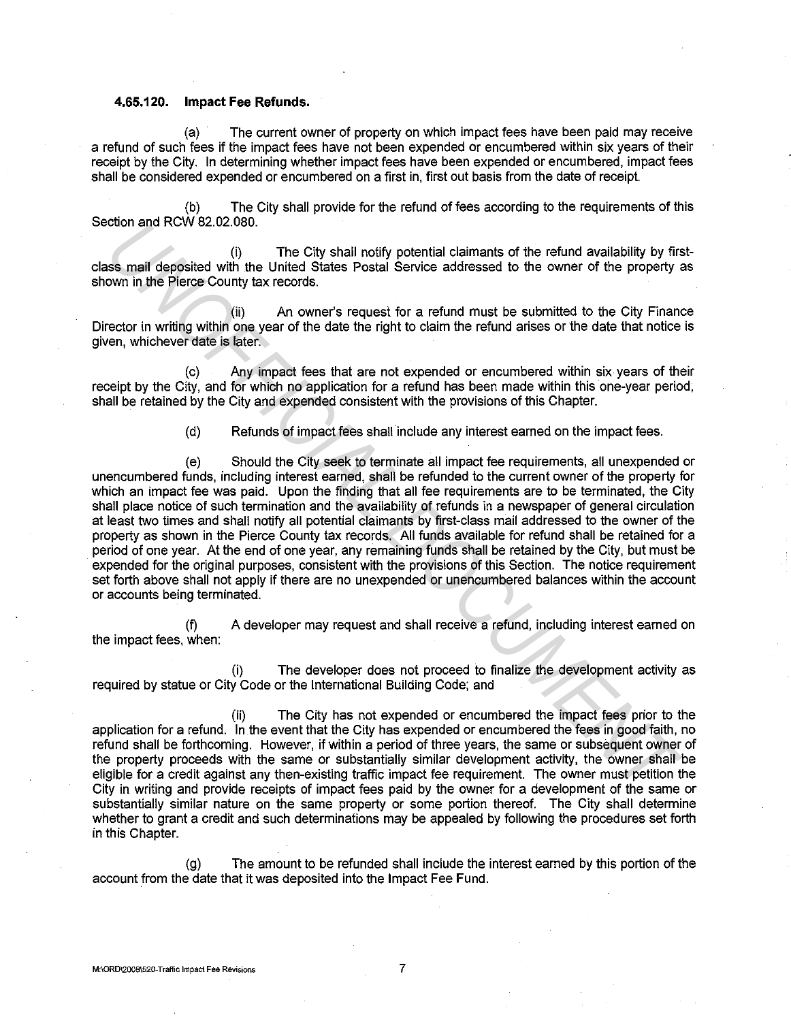### **4.65.120. Impact Fee Refunds.**

(a) The current owner of property on which impact fees have been paid may receive a refund of such fees if the impact fees have not been expended or encumbered within six years of their receipt by the City. In determining whether impact fees have been expended or encumbered, impact fees shall be considered expended or encumbered on a first in, first out basis from the date of receipt.

(b) The City shall provide for the refund of fees according to the requirements of this Section and RCW 82.02.080.

The City shall notify potential claimants of the refund availability by firstclass mail deposited with the United States Postal Service addressed to the owner of the property as shown in the Pierce County tax records.

(ii} An owner's request for a refund must be submitted to the City Finance Director in writing within one year of the date the right to claim the refund arises or the date that notice is given, whichever date is later.

(c) Any impact fees that are not expended or encumbered within six years of their receipt by the City, and for which no application for a refund has been made within this one-year period, shall be retained by the City and expended consistent with the provisions of this Chapter.

(d) Refunds of impact fees shall include any interest earned on the impact fees.

(e) Should the City seek to terminate all impact fee requirements, all unexpended or unencumbered funds, including interest earned, shall be refunded to the current owner of the property for which an impact fee was paid. Upon the finding that all fee requirements are to be terminated, the City shall place notice of such termination and the availability of refunds in a newspaper of general circulation at least two times and shall notify all potential claimants by first-class mail addressed to the owner of the property as shown in the Pierce County tax records. All funds available for refund shall be retained for a period of one year. At the end of one year, any remaining funds shall be retained by the City, but must be expended for the original purposes, consistent with the provisions of this Section. The notice requirement set forth above shall not apply if there are no unexpended or unencumbered balances within the account or accounts being terminated. ction and RCJW 82.02.080.<br> **USE The City shall notling potential claimants of the refund availability by first<br>
Six mail deposited with the United States Postal Service addressed to the cwner of the property<br>
own in the Pl** 

(f) A developer may request and shall receive a refund, including interest earned on the impact fees, when:

(i) The developer does not proceed to finalize the development activity as required by statue or City Code or the International Building Code; and

(ii) The City has not expended or encumbered the impact fees prior to the application for a refund. In the event that the City has expended or encumbered the fees in good faith, no refund shall be forthcoming. However, if within a period of three years, the same or subsequent owner of the property proceeds with the same or substantially similar development activity, the owner shall be eligible for a credit against any then-existing traffic impact fee requirement. The owner must petition the City in writing and provide receipts of impact fees paid by the owner for a development of the same or substantially similar nature on the same property or some portion thereof. The City shall determine whether to grant a credit and such determinations may be appealed by following the procedures set forth in this Chapter.

(g) The amount to be refunded shall include the interest earned by this portion of the account from the date that it was deposited into the Impact Fee Fund.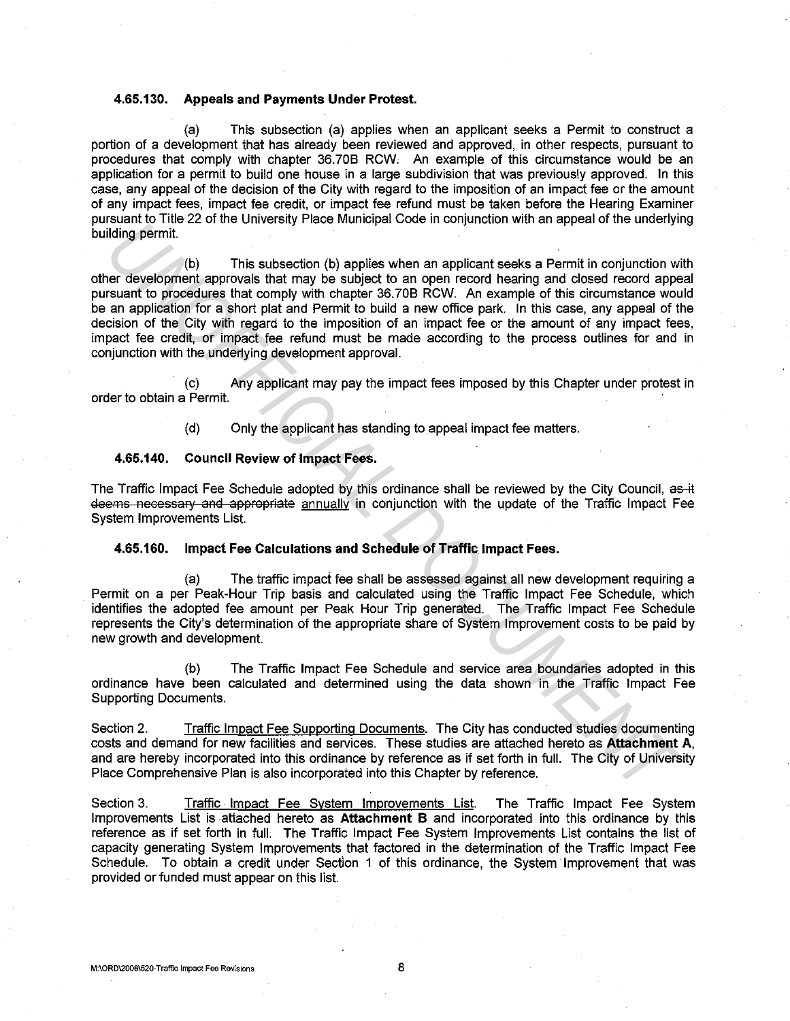### **4.65.130. Appeals and Payments Under Protest.**

(a) This subsection (a) applies when an applicant seeks a Permit to construct a portion of a development that has already been reviewed and approved, in other respects, pursuant to procedures that comply with chapter 36.708 RCW. An example of this circumstance would be an application for a permit to build one house in a large subdivision that was previously approved. In this case, any appeal of the decision of the City with regard to the imposition of an impact fee or the amount of any impact fees, impact fee credit, or impact fee refund must be taken before the Hearing Examiner pursuant to Title 22 of the University Place Municipal Code in conjunction with an appeal of the underlying building permit.

(b) This subsection (b) applies when an applicant seeks a Permit in conjunction with other development approvals that may be subject to an open record hearing and closed record appeal pursuant to procedures that comply with chapter 36.708 RCW. An example of this circumstance would be an application for a short plat and Permit to build a new office park. In this case, any appeal of the decision of the City with regard to the imposition of an impact fee or the amount of any impact fees, impact fee credit, or impact fee refund must be made according to the process outlines for and in conjunction with the underlying development approval. **Example 10** this subsection (b) applies when an application who an application technique the diversion of the control of the control of the control of the control of the control of the control of the control of the contro

(c) Any applicant may pay the impact fees imposed by this Chapter under protest in order to obtain a Permit.

( d) Only the applicant has standing to appeal impact fee matters.

### **4.65.140. Council Review of Impact Fees.**

The Traffic Impact Fee Schedule adopted by this ordinance shall be reviewed by the City Council, as-it deems necessary and appropriate annually in conjunction with the update of the Traffic Impact Fee System Improvements List.

### **4.65.160. Impact Fee Calculations and Schedule of Traffic. Impact Fees.**

(a) The traffic impaci fee shall be assessed against all new development requiring a Permit on a per Peak-Hour Trip basis and calculated using the Traffic Impact Fee Schedule, which identifies the adopted fee amount per Peak Hour Trip generated. The Traffic Impact Fee Schedule represents the City's determination of the appropriate share of System Improvement costs to be paid by new growth and development.

(b) The Traffic Impact Fee Schedule and service area boundaries adopted in this ordinance have been calculated and determined using the data shown in the Traffic Impact Fee Supporting Documents.

Section 2. Traffic Impact Fee Supporting Documents. The City has conducted studies documenting costs and demand for new facilities and services. These studies are attached hereto as **Attachment A,**  and are hereby incorporated into this ordinance by reference as if set forth in full. The City of University Place Comprehensive Plan is also incorporated into this Chapter by reference.

Section 3. Traffic Impact Fee System Improvements List. The Traffic Impact Fee System Improvements List is attached hereto as **Attachment B** and incorporated into this ordinance by this reference as if set forth in full: The Traffic Impact Fee System Improvements List contains the list of capacity generating System Improvements that factored in the determination of the Traffic Impact Fee Schedule. To obtain a credit under Section 1 of this ordinance, the System Improvement that was provided or funded must appear on this list.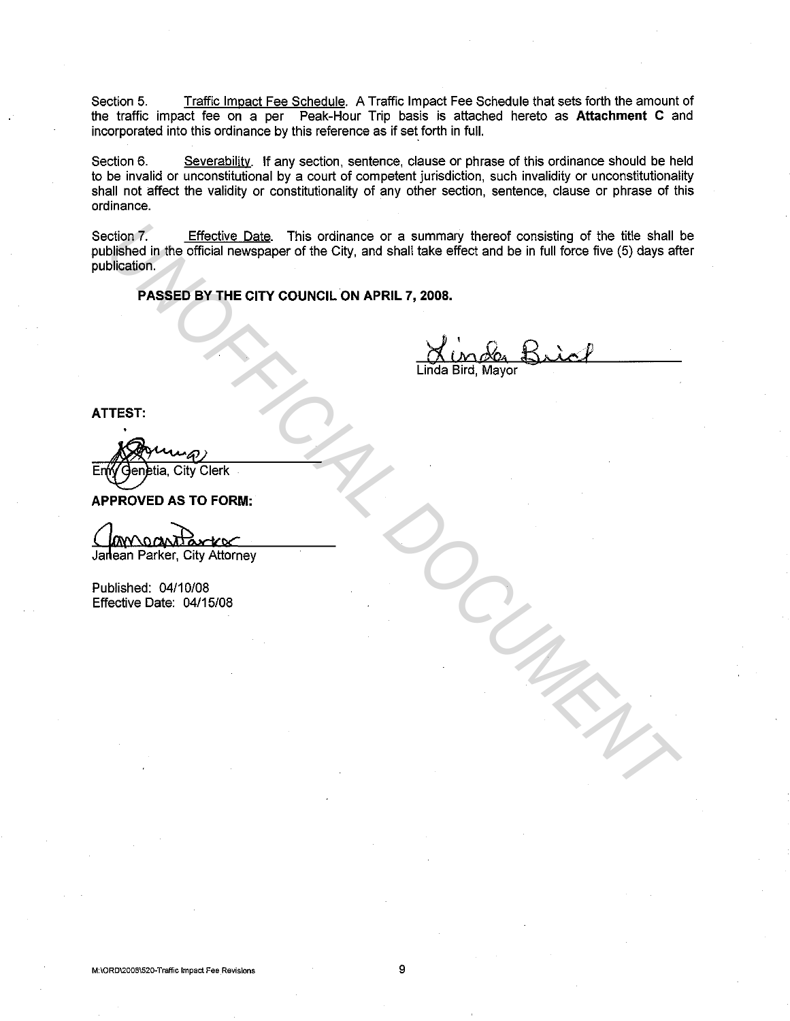Section 5. Traffic Impact Fee Schedule. A Traffic Impact Fee Schedule that sets forth the amount of the traffic impact fee on a per Peak-Hour Trip basis is attached hereto as **Attachment C** and incorporated into this ordinance by this reference as if set forth in full.

Section 6. Severability. If any section, sentence, clause or phrase of this ordinance should be held to be invalid or unconstitutional by a court of competent jurisdiction, such invalidity or unconstitutionality shall not affect the validity or constitutionality of any other section, sentence, clause or phrase of this ordinance.

Section 7. Effective Date. This ordinance or a summary thereof consisting of the title shall be published in the official newspaper of the City, and shall take effect and be in full force five (5) days after publication. **Effective Date**. This ordinance or a summay thereof consisting of the title shall bilation.<br>
Distriction.<br>
Distriction.<br>
PASSED BY THE CITY COUNCIL ON APRIL 7, 2008.<br>
PASSED BY THE CITY COUNCIL ON APRIL 7, 2008.<br>
THEST:<br>

**PASSED BY THE CITY COUNCIL ON APRIL 7, 2008.** 

Linda Bird, Mayor

**ATTEST:** 

Published: 04/10/08 Effective Date: 04/15/08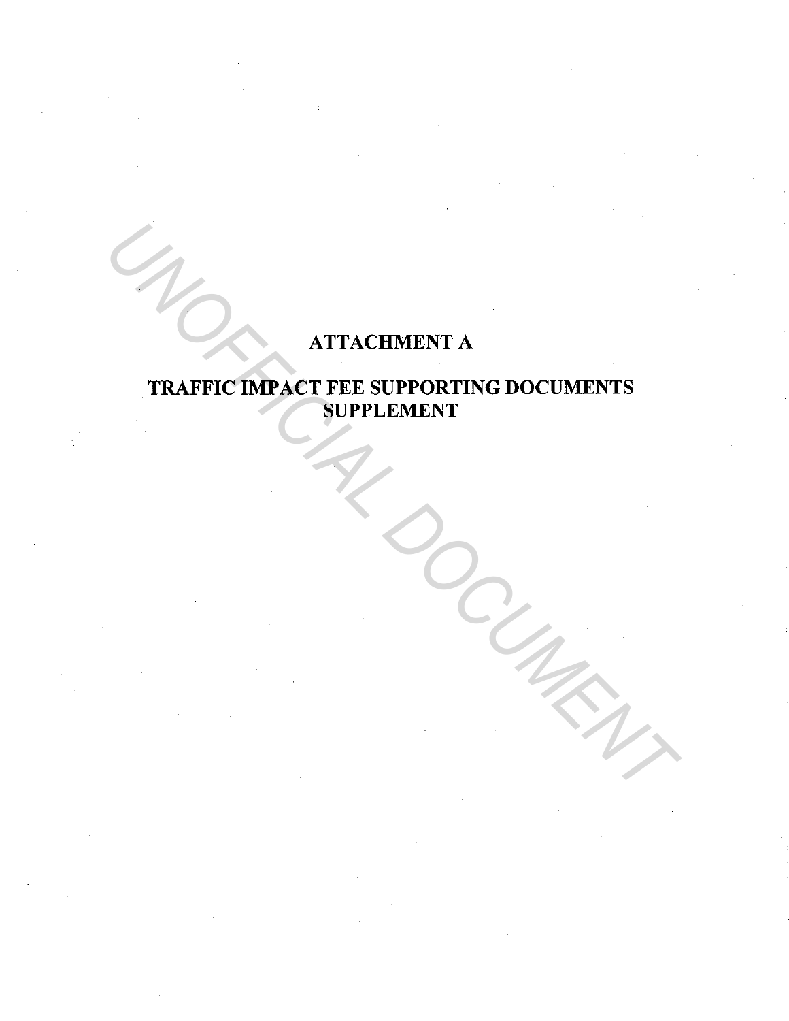# ATTACHMENT A

# TRAFFIC IMPACT FEE SUPPORTING DOCUMENTS SUPPLEMENT **TRAFFIC IMPACT FEE SUPPORTING DOCUMENTS**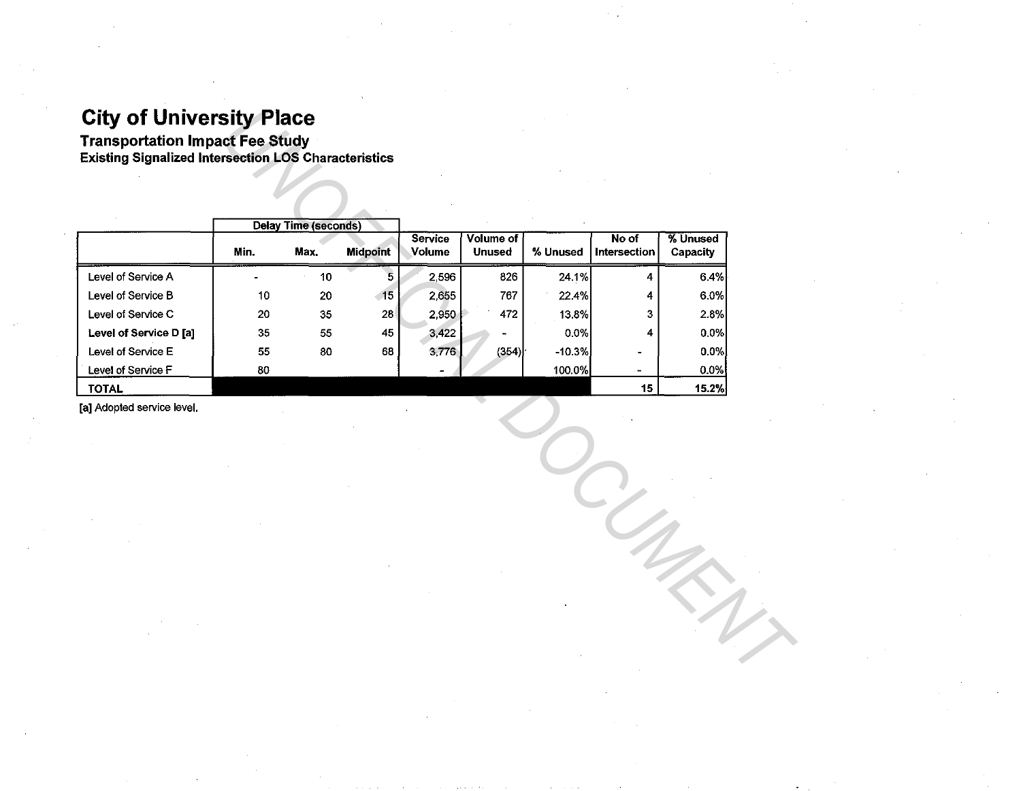|                            |      | <b>Delay Time (seconds)</b> |                          |                          |                                   |          |                       |                      |
|----------------------------|------|-----------------------------|--------------------------|--------------------------|-----------------------------------|----------|-----------------------|----------------------|
|                            | Min. | Max.                        | <b>Midpoint</b>          | <b>Service</b><br>Volume | <b>Volume of</b><br><b>Unused</b> | % Unused | No of<br>Intersection | % Unused<br>Capacity |
| Level of Service A         |      | 10                          | $\overline{\mathbf{5}}$  | 2,596                    | 826                               | 24.1%    | 4                     | 6.4%                 |
| Level of Service B         | 10   | 20                          | $\overline{\mathbf{15}}$ | 2,655                    | 767                               | 22.4%    | 4                     | 6.0%                 |
| Level of Service C         | 20   | 35                          | 28                       | 2,950                    | 472                               | 13.8%    | 3                     | 2.8%                 |
| Level of Service D [a]     | 35   | 55                          | 45                       | 3,422                    |                                   | 0.0%     | 4                     | 0.0%                 |
| Level of Service E         | 55   | 80                          | 68                       | 3,776                    | (354)                             | $-10.3%$ |                       | 0.0%                 |
| Level of Service F         | 80   |                             |                          |                          |                                   | 100.0%   | $\tilde{\phantom{a}}$ | 0.0%                 |
| <b>TOTAL</b>               |      |                             |                          |                          |                                   |          | 15 <sub>1</sub>       | 15.2%                |
| [a] Adopted service level. |      |                             |                          |                          |                                   |          |                       |                      |
|                            |      |                             |                          |                          |                                   |          |                       |                      |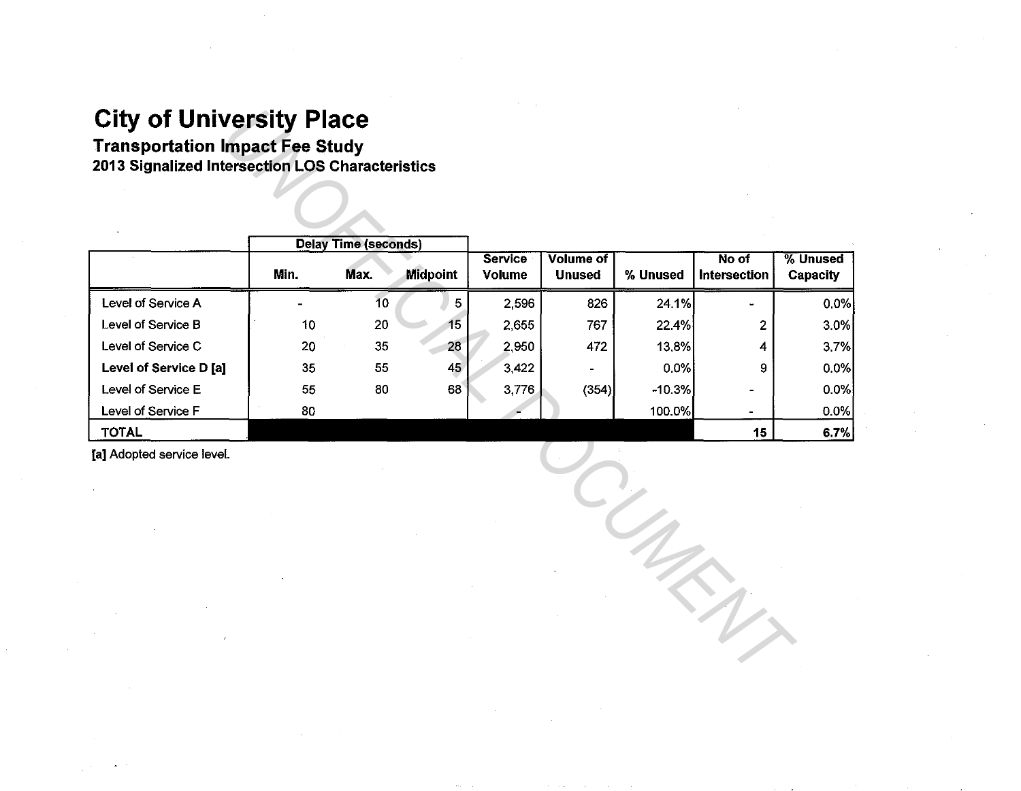### Transportation Impact Fee Study 2013 Signalized Intersection LOS Characteristics

| <b>Transportation Impact Fee Study</b><br>2013 Signalized Intersection LOS Characteristics |      | <b>City of University Place</b>     |                 |                                 |                            |          |                       |                      |
|--------------------------------------------------------------------------------------------|------|-------------------------------------|-----------------|---------------------------------|----------------------------|----------|-----------------------|----------------------|
|                                                                                            | Min. | <b>Delay Time (seconds)</b><br>Max. | <b>Midpoint</b> | <b>Service</b><br><b>Volume</b> | Volume of<br><b>Unused</b> | % Unused | No of<br>Intersection | % Unused<br>Capacity |
| Level of Service A                                                                         |      | 10 <sub>10</sub>                    | 5               | 2,596                           | 826                        | 24.1%    | ш.                    | 0.0%                 |
| Level of Service B                                                                         | 10   | 20                                  | 15              | 2,655                           | 767                        | 22.4%    | 2                     | 3.0%                 |
| Level of Service C                                                                         | 20   | 35                                  | 28              | 2,950                           | 472                        | 13.8%    | 4                     | 3.7%                 |
| Level of Service D [a]                                                                     | 35   | 55                                  | 45              | 3,422                           |                            | 0.0%     | 9                     | 0.0%                 |
| Level of Service E                                                                         | 55   | 30                                  | 68              | 3,776                           | (354)                      | $-10.3%$ |                       | 0.0%                 |
| Level of Service F                                                                         | 80   |                                     |                 |                                 |                            | 100.0%   |                       | 0.0%                 |
| <b>TOTAL</b>                                                                               |      |                                     |                 |                                 |                            |          | 15                    | 6.7%                 |
| [a] Adopted service level.                                                                 |      |                                     |                 |                                 |                            |          |                       |                      |

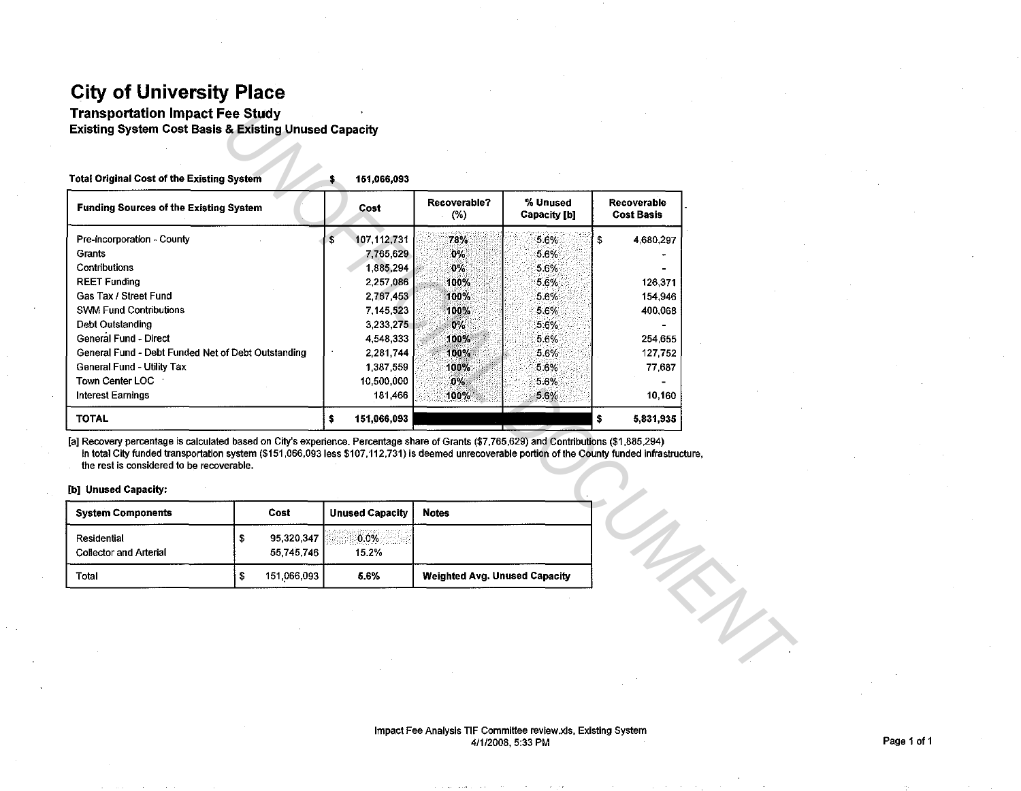Transportation Impact Fee Study Existing System Cost Basis & Existing Unused Capacity

| <b>Total Original Cost of the Existing System</b>                                                                                                                                                            |                                 | \$<br>151,066,093      |                                      |                                 |                                  |
|--------------------------------------------------------------------------------------------------------------------------------------------------------------------------------------------------------------|---------------------------------|------------------------|--------------------------------------|---------------------------------|----------------------------------|
| <b>Funding Sources of the Existing System</b>                                                                                                                                                                |                                 | Cost                   | Recoverable?<br>$(\%)$               | % Unused<br><b>Capacity [b]</b> | Recoverable<br><b>Cost Basis</b> |
| Pre-incorporation - County                                                                                                                                                                                   |                                 | \$<br>107,112,731      | 78%                                  | 5.6%                            | \$<br>4,680,297                  |
| Grants                                                                                                                                                                                                       |                                 | 7,765,629              | $0\%$                                | 5.6%                            |                                  |
| Contributions                                                                                                                                                                                                |                                 | 1,885,294              | $0\%$                                | 5.6%                            |                                  |
| <b>REET Funding</b>                                                                                                                                                                                          |                                 | 2,257,086              | 100%                                 | 5.6%                            | 126 371                          |
| Gas Tax / Street Fund                                                                                                                                                                                        |                                 | 2,767,453              | 100%                                 | 5.6%                            | 154.946                          |
| <b>SWM Fund Contributions</b>                                                                                                                                                                                |                                 | 7,145,523              | 100%                                 | 5.6%                            | 400,068                          |
| Debt Outstanding                                                                                                                                                                                             |                                 | 3,233,275              | $0\%$                                | 5.6%                            |                                  |
| <b>General Fund - Direct</b>                                                                                                                                                                                 |                                 | 4,548,333              | 100%                                 | 5.6%                            | 254 655                          |
| General Fund - Debt Funded Net of Debt Outstanding                                                                                                                                                           |                                 | 2,281,744              | 100%                                 | 5.6%                            | 127 752                          |
| <b>General Fund - Utility Tax</b>                                                                                                                                                                            |                                 | 1,387,559              | 100%                                 | 5.6%                            | 77,687                           |
| Town Center LOC                                                                                                                                                                                              |                                 | 10,500,000             | $0\%$                                | 5.6%                            |                                  |
| <b>Interest Earnings</b>                                                                                                                                                                                     |                                 | 181,466                | 100%                                 | 5.6%                            | 10,160                           |
|                                                                                                                                                                                                              |                                 |                        |                                      |                                 | \$<br>5,831,935                  |
| <b>TOTAL</b>                                                                                                                                                                                                 |                                 | \$<br>151,066,093      |                                      |                                 |                                  |
| in total City funded transportation system (\$151,066,093 less \$107,112,731) is deemed unrecoverable portion of the County funded infrastructure,<br>the rest is considered to be recoverable.              |                                 |                        |                                      |                                 |                                  |
| <b>System Components</b>                                                                                                                                                                                     | Cost                            | <b>Unused Capacity</b> | <b>Notes</b>                         |                                 |                                  |
|                                                                                                                                                                                                              |                                 |                        |                                      |                                 |                                  |
| Residential                                                                                                                                                                                                  | \$<br>95,320,347                | $0.0\%$                |                                      |                                 |                                  |
| [a] Recovery percentage is calculated based on City's experience. Percentage share of Grants (\$7,765,629) and Contributions (\$1,885,294)<br>[b] Unused Capacity:<br><b>Collector and Arterial</b><br>Total | 55 745,746<br>\$<br>151,066,093 | 15.2%<br>5.6%          | <b>Weighted Avg. Unused Capacity</b> |                                 |                                  |

### [b] Unused Capacity:

| <b>System Components</b>                     | Cost                     | <b>Unused Capacity</b> | <b>Notes</b>                         |
|----------------------------------------------|--------------------------|------------------------|--------------------------------------|
| Residential<br><b>Collector and Arterial</b> | 95,320,347<br>55 745 746 | $\sim 0.0\%$<br>15.2%  |                                      |
| Total                                        | 151,066,093              | 5.6%                   | <b>Weighted Avg. Unused Capacity</b> |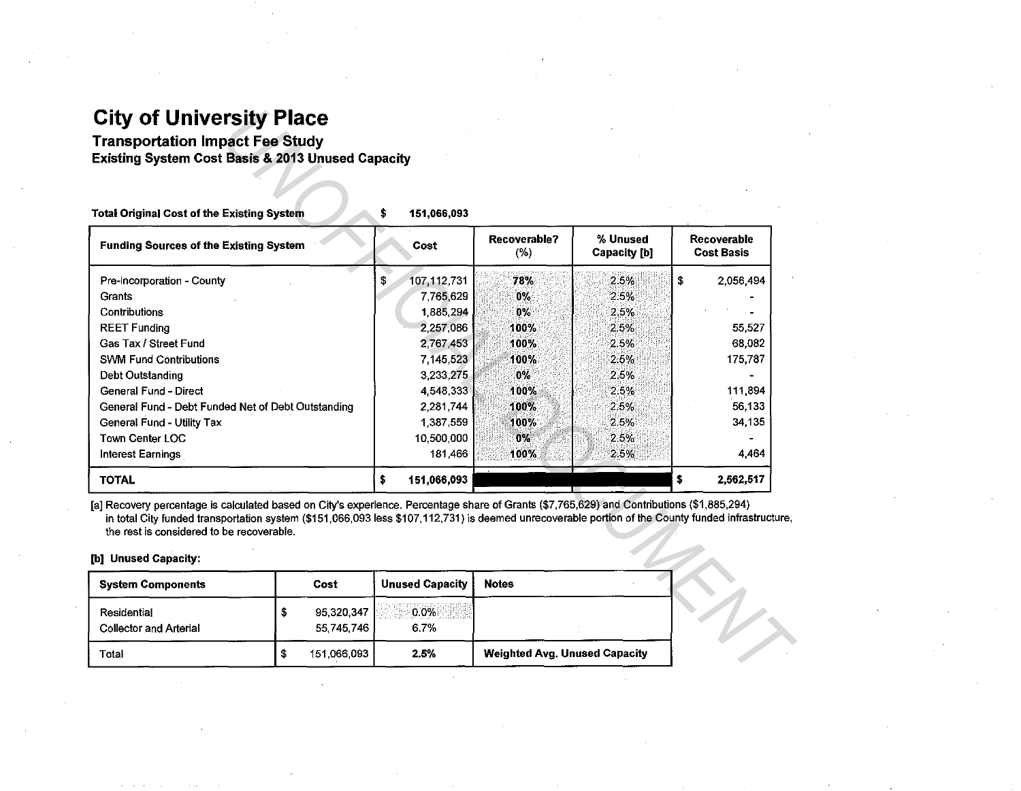### Transportation Impact Fee Study Existing System Cost Basis & 2013 Unused Capacity

| <b>City of University Place</b><br><b>Transportation Impact Fee Study</b>                                                                                                                                                                                                                                                                                             |             |                        |                     |                                 |                                  |
|-----------------------------------------------------------------------------------------------------------------------------------------------------------------------------------------------------------------------------------------------------------------------------------------------------------------------------------------------------------------------|-------------|------------------------|---------------------|---------------------------------|----------------------------------|
| <b>Existing System Cost Basis &amp; 2013 Unused Capacity</b>                                                                                                                                                                                                                                                                                                          |             |                        |                     |                                 |                                  |
| <b>Total Original Cost of the Existing System</b>                                                                                                                                                                                                                                                                                                                     | \$          | 151,066,093            |                     |                                 |                                  |
| <b>Funding Sources of the Existing System</b>                                                                                                                                                                                                                                                                                                                         |             | Cost                   | Recoverable?<br>(%) | % Unused<br><b>Capacity</b> [b] | Recoverable<br><b>Cost Basis</b> |
| Pre-incorporation - County                                                                                                                                                                                                                                                                                                                                            | \$          | 107,112,731            | 78%                 | 2.5%                            | \$<br>2,056,494                  |
| Grants                                                                                                                                                                                                                                                                                                                                                                |             | 7,765,629              | 0%                  | 2.5%                            |                                  |
| Contributions                                                                                                                                                                                                                                                                                                                                                         |             | 1,885,294              | $0\%$               | 2.5%                            |                                  |
| <b>REET Funding</b>                                                                                                                                                                                                                                                                                                                                                   |             | 2,257,086              | 100%                | 2.5%                            | 55,527                           |
| Gas Tax / Street Fund                                                                                                                                                                                                                                                                                                                                                 |             | 2,767,453              | 100%                | 2.5%                            | 68,082                           |
| <b>SWM Fund Contributions</b>                                                                                                                                                                                                                                                                                                                                         |             | 7,145,523              | 100%                | 2.5%                            | 175,787                          |
| Debt Outstanding                                                                                                                                                                                                                                                                                                                                                      |             | 3,233,275              | $0\%$               | 2.5%                            |                                  |
| <b>General Fund - Direct</b>                                                                                                                                                                                                                                                                                                                                          |             | 4,548,333              | 100%                | 2.5%                            | 111,894                          |
| General Fund - Debt Funded Net of Debt Outstanding                                                                                                                                                                                                                                                                                                                    |             | 2,281,744              | 100%                | 2.5%                            | 56,133                           |
| <b>General Fund - Utility Tax</b>                                                                                                                                                                                                                                                                                                                                     |             | 1,387,559              | 100%                | 2.5%                            | 34,135                           |
| <b>Town Center LOC</b>                                                                                                                                                                                                                                                                                                                                                |             | 10,500,000             | $0\%$               | 2.5%                            |                                  |
| <b>Interest Earnings</b>                                                                                                                                                                                                                                                                                                                                              |             | 181,466                | 100%                | 2.5%                            | 4,464                            |
| <b>TOTAL</b>                                                                                                                                                                                                                                                                                                                                                          | \$          | 151,066,093            |                     |                                 | \$<br>2,562,517                  |
| [a] Recovery percentage is calculated based on City's experience. Percentage share of Grants (\$7,765,629) and Contributions (\$1,885,294)<br>in total City funded transportation system (\$151,066,093 less \$107,112,731) is deemed unrecoverable portion of the County funded infrastructure,<br>the rest is considered to be recoverable.<br>[b] Unused Capacity: |             |                        |                     |                                 |                                  |
| <b>System Components</b><br>Cost                                                                                                                                                                                                                                                                                                                                      |             | <b>Unused Capacity</b> | <b>Notes</b>        |                                 |                                  |
|                                                                                                                                                                                                                                                                                                                                                                       |             |                        |                     |                                 |                                  |
| \$<br>95,320,347<br>Residential                                                                                                                                                                                                                                                                                                                                       |             | 0.0%                   |                     |                                 |                                  |
| <b>Collector and Arterial</b><br>55,745,746                                                                                                                                                                                                                                                                                                                           |             | 6.7%                   |                     |                                 |                                  |
|                                                                                                                                                                                                                                                                                                                                                                       | 151,066,093 |                        |                     |                                 |                                  |

| <b>System Components</b>                     |    | Cost                     | <b>Unused Capacity</b> | <b>Notes</b>                         |
|----------------------------------------------|----|--------------------------|------------------------|--------------------------------------|
| Residential<br><b>Collector and Arterial</b> | æ  | 95,320,347<br>55,745,746 | $0.0\%$<br>6.7%        |                                      |
| Total                                        | \$ | 151.066.093              | 2.5%                   | <b>Weighted Avg. Unused Capacity</b> |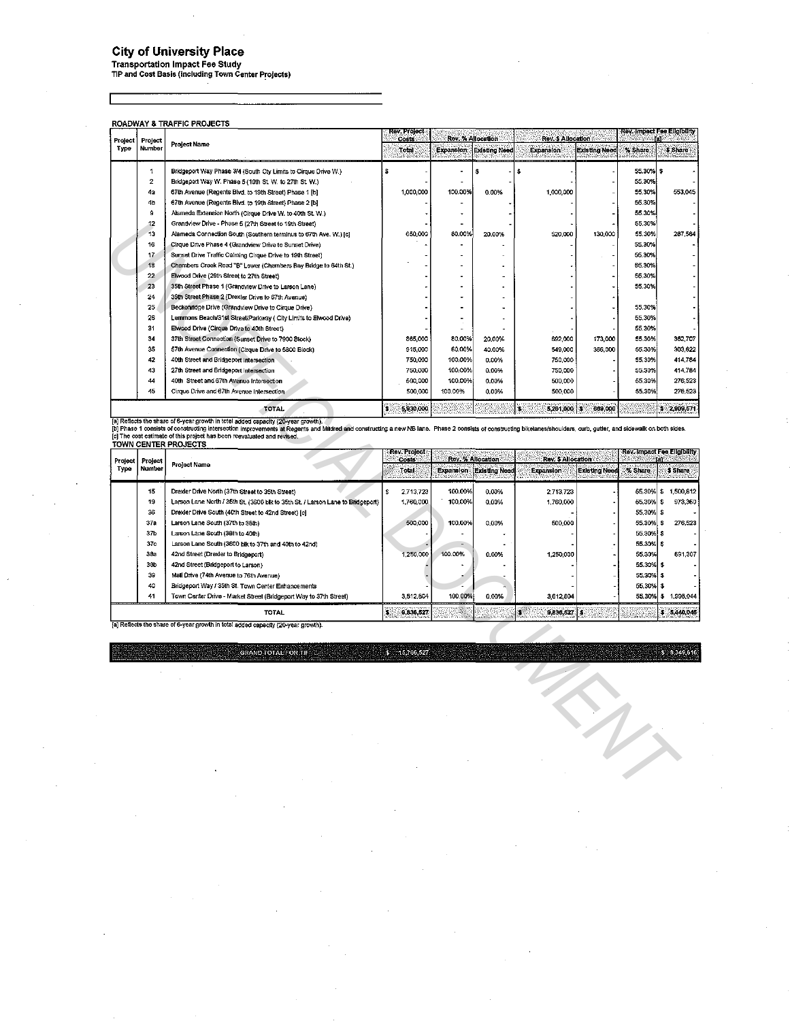Transportation Impact Fee Study TIP and Cost Basis (including Town Center Projects)

ROADWAY & TRAFFIC PROJECTS **Rev. Impact Fee Eligibility** kev. Projec Rev. % Allocation Rev. \$ Allocation Cost Project Project Type Number Project Name Total Expansion Existing M Expansion Existing Ne % Share \$ Share Bridgeport Way Phase 3/4 (South Cty Limits to Cirque Drive W.) 55.30% \$  $\mathbf{A}$ l s  $\overline{2}$ Bridgeport Way W. Phase 5(19th st W. to 27th st W.) 55\_30%  $4a$ 67th Avenue (Regents Blvd. to 19th Street} Phase 1 [b] 1,000,000 100.00% 0.00% 1,000,000 55.30% 553,045 67th Avenue (Regents Blvd. to 19th street) Phase 2 [b] 55.30%  $4<sub>b</sub>$ Alameda Extension North (Cirque Drive W. to 40th St. W.)  $\bullet$ 55.30% J. Grandview Drive - Phase 5 (27th Street to 19th street) 55.30%  $\frac{12}{13}$   $\frac{13}{16}$   $\frac{17}{18}$ **UNOFFICIAL DESCRIPTION OF CONFIDENTIAL DESCRIPTION AND RESERVE CONFIDENTIAL DESCRIPTION OF CONFIDENTIAL DESCRIPTION AND RESERVE CONFIDENTIAL DESCRIPTION OF CONFIDENTIAL DESCRIPTION OF CONFIDENTIAL DESCRIPTION OF CONFIDENT** Alameda Connection South (Southern terminus to 67th Ave. W.) [c] 650,000 80.00% 20.00% 520,000 130,000 55.30% 287,584 Cirque Drive Phase 4 (Grandview Drive to Sunset Drive) 55.30% Sunset Drive Traffic Calming Cirque Drive to 19th Street) 55.30% Chambers Creek Road "B" Lower (Chambers Bay Bridge to 64th st.) 55.30%  $\begin{array}{c} 22 \\ 23 \end{array}$ Elwood Drive (29th street to 27th street) 55.30% 35th Street Phase 1 (Grandview Drive to Larson Lane) 55.30% 23 24 25 26 31 34 35 42 43 44 45 11 22 43 44 45 11 22 43 44 45 11 22 43 44 45 11 22 35th Street Phase 2 (Drexler Drive to 67th Avenue) Beckonridge Drive (Grandview Drive to Cirque Drive) 55.30% Lemmons Beach/31st StreetJParkway (City Limits to Elwood Drive) 55.30% Elwood Drive (Cirque Drive to 4oth Street) 55.30% 37th Street Connection (Sunset Drive to 7900 Block) 865,000 80.00% 20.00% 692,000 173,000 55.30% 382,707 57th Avenue Connection (Cirque Drive to 5800 Block) 915,000 60.00% 40.00% 549,000 366,000 55.30% 303,622 40th street and Bridgeport lntersecition 750,000 100.00% 0.00% 750,000 55.30% 414,784 27th Street and Bridgeport lnteraection 750,000 100.00% 0.00% 750,000 55.30% 414,784 40th Street and 67th Avenue Intersection 500,000 100.00% 0.00% 500,000 55.30% 276,523 Cirque Drive and 67th Avenue lnteraection 500,000 100.00% 0.00% 500,000 55.30% 276,523 TOTAL 5,930,000 \$/

[a] Reflects the share of 6-year growth in total added capacity (20-year growth). [b] Phase 1 consists of constructing intersection improvements at Regents and Mildred and constructing a new NB lane. Phase 2 consists of constructing bikelanes/shoulders, curb, gutter, and sidewalk on both sides.<br>[c] The

| Project | Project |                                                                                 | <b>Rev. Project</b><br>Costs <sup>1</sup> |         | Rev. % Allocation              | Rev. \$ Allocation |                        |           | Rev. Impact Fee Eligibility.<br>Tar 23 |
|---------|---------|---------------------------------------------------------------------------------|-------------------------------------------|---------|--------------------------------|--------------------|------------------------|-----------|----------------------------------------|
| Type    | Number  | <b>Prolect Name</b>                                                             | :Total                                    |         | <b>Expansion Existing Need</b> | <b>Expansion</b>   | Existing Need: % Share |           | <b>3 Share</b>                         |
|         | 15      | Drexler Drive North (37th Street to 35th Street)                                | 2.713.723                                 | 100.00% | 0.00%                          | 2.713.723          |                        | 55.30%    | 1500 812                               |
|         | 19      | Larson Lane North / 35th St. (3600 blk to 35th St. / Larson Lane to Bridgeport) | 1,760,000                                 | 100.00% | 0.00%                          | 1,760,000          |                        | 55,30% \$ | 973.360                                |
|         | 36      | Drexler Drive South (40th Street to 42nd Street) [c]                            |                                           |         |                                |                    |                        | 55,30% \$ |                                        |
|         | 37a     | Larson Lane South (37th to 38th)                                                | 500,000                                   | 100.00% | 0.00%                          | 500,000            |                        | 55.30% \$ | 276,523                                |
|         | 37b     | Larson Lane South (38th to 40th)                                                |                                           |         |                                |                    |                        | 55.30% \$ |                                        |
|         | 37c     | Larson Lane South (3600 bik to 37th and 40th to 42nd)                           |                                           |         |                                |                    |                        | 55.30% \$ |                                        |
|         | 38a     | 42nd Street (Drexler to Bridgeport)                                             | 1,250,000                                 | 100.00% | 0.00%                          | 1,250,000          |                        | 55.30%    | 691,307                                |
|         | 38b     | 42nd Street (Bridgeport to Larson)                                              |                                           |         |                                |                    |                        | 55,30% \$ |                                        |
|         | 39      | Mall Drive (74th Avenue to 76th Avenue)                                         |                                           |         |                                |                    |                        | 55.30% \$ |                                        |
|         | 40      | Bridgeport Way / 35th St. Town Center Enhancements                              |                                           |         |                                |                    |                        | 55.30% \$ |                                        |
|         | 41      | Town Center Drive - Market Street (Bridgeport Way to 37th Street)               | 3,612,804                                 | 100.00% | 0.00%                          | 3.612.804          |                        | 55.30%    | 1,998,044<br>s                         |
|         |         | <b>TOTAL</b>                                                                    | 9,836,527                                 |         |                                | $9,836,527$ \$     |                        |           | \$ 5,440,045                           |

[a] Reflects the share of 6-year growth in total added capacity (20-year growth)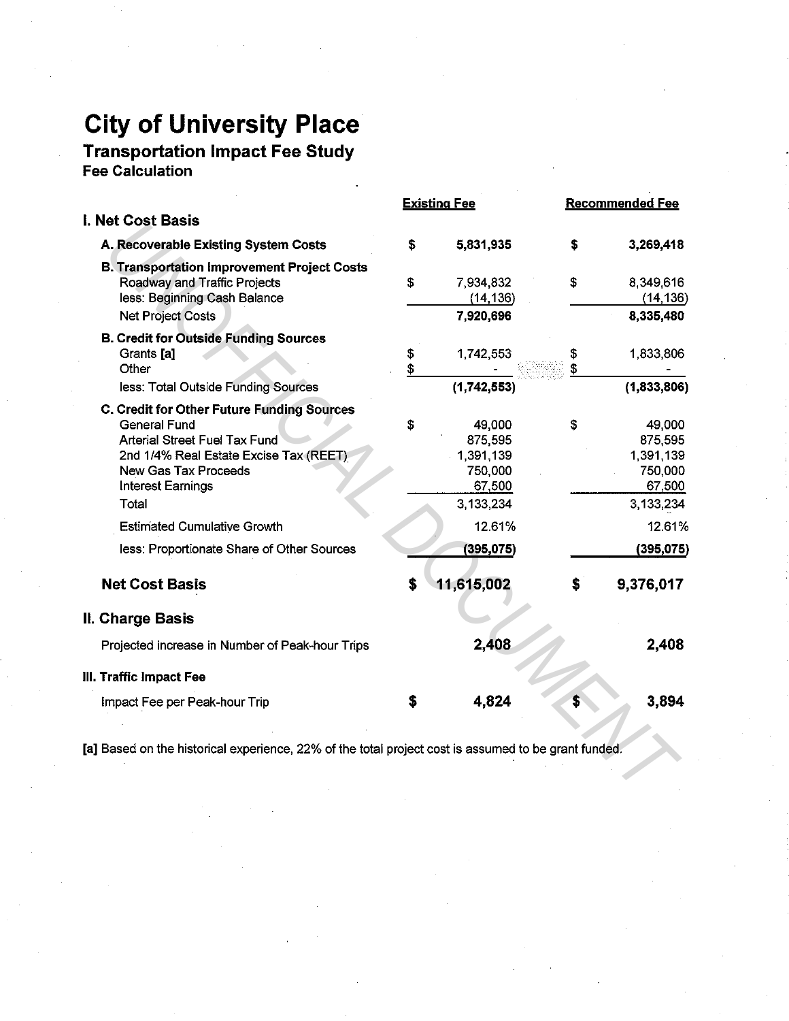Transportation Impact Fee Study Fee Calculation

| <b>Recommended Fee</b> |                                                                                                      |
|------------------------|------------------------------------------------------------------------------------------------------|
|                        |                                                                                                      |
| \$                     | 3,269,418                                                                                            |
|                        |                                                                                                      |
| \$                     | 8,349,616                                                                                            |
|                        | (14, 136)                                                                                            |
|                        | 8,335,480                                                                                            |
|                        |                                                                                                      |
| S                      | 1,833,806                                                                                            |
| \$                     |                                                                                                      |
|                        | (1,833,806)                                                                                          |
|                        |                                                                                                      |
| \$                     | 49,000                                                                                               |
|                        | 875,595                                                                                              |
|                        | 1,391,139                                                                                            |
|                        | 750,000<br>67,500                                                                                    |
|                        | 3,133,234                                                                                            |
|                        |                                                                                                      |
|                        | 12.61%                                                                                               |
|                        | (395, 075)                                                                                           |
| \$                     | 9,376,017                                                                                            |
|                        |                                                                                                      |
|                        | 2,408                                                                                                |
|                        |                                                                                                      |
|                        | 3,894                                                                                                |
|                        | [a] Based on the historical experience, 22% of the total project cost is assumed to be grant funded. |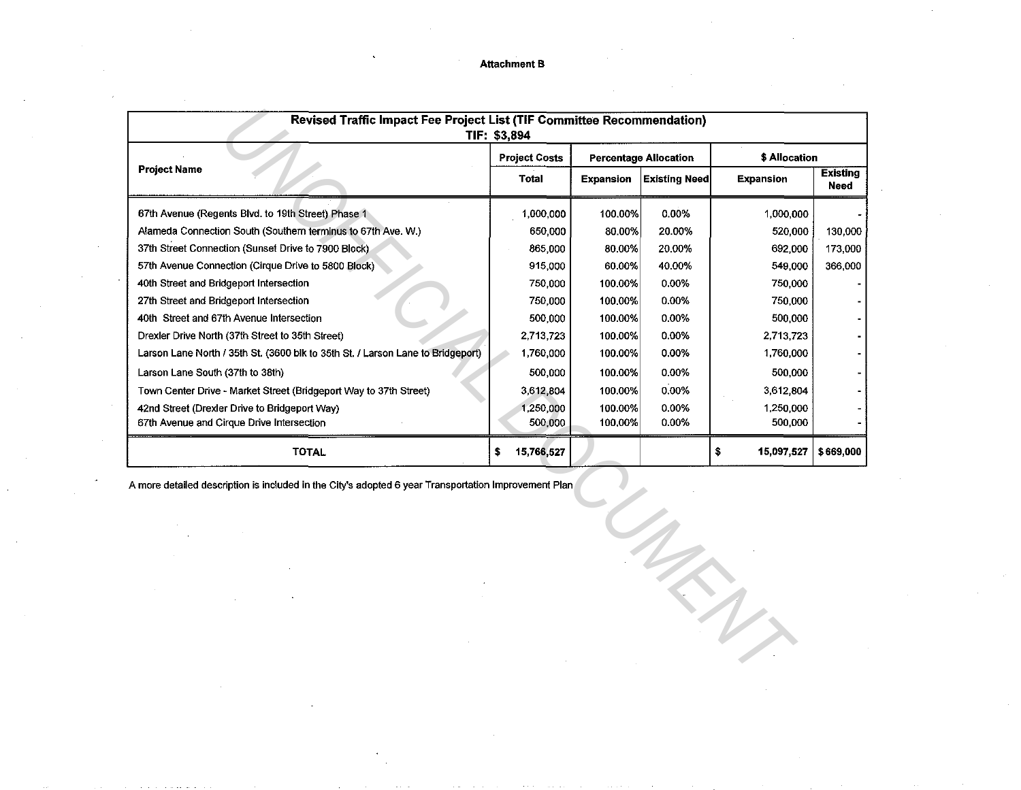### Attachment B

| Revised Traffic Impact Fee Project List (TIF Committee Recommendation)                               | TIF: \$3,894         |                  |                              |                  |                         |
|------------------------------------------------------------------------------------------------------|----------------------|------------------|------------------------------|------------------|-------------------------|
|                                                                                                      | <b>Project Costs</b> |                  | <b>Percentage Allocation</b> | \$ Allocation    |                         |
| <b>Project Name</b>                                                                                  | <b>Total</b>         | <b>Expansion</b> | <b>Existing Need</b>         | <b>Expansion</b> | <b>Existing</b><br>Need |
| 67th Avenue (Regents Blvd. to 19th Street) Phase 1                                                   | 1,000,000            | 100.00%          | 0.00%                        | 1,000,000        |                         |
| Alameda Connection South (Southern terminus to 67th Ave. W.)                                         | 650,000              | 80.00%           | 20.00%                       | 520,000          | 130,000                 |
| 37th Street Connection (Sunset Drive to 7900 Block)                                                  | 865,000              | 80.00%           | 20.00%                       | 692,000          | 173,000                 |
| 57th Avenue Connection (Cirque Drive to 5800 Block)                                                  | 915,000              | 60.00%           | 40.00%                       | 549,000          | 366,000                 |
| 40th Street and Bridgeport Intersection                                                              | 750,000              | 100.00%          | 0.00%                        | 750,000          |                         |
| 27th Street and Bridgeport Intersection                                                              | 750,000              | 100.00%          | 0.00%                        | 750,000          |                         |
| 40th Street and 67th Avenue Intersection                                                             | 500,000              | 100.00%          | 0.00%                        | 500,000          |                         |
| Drexler Drive North (37th Street to 35th Street)                                                     | 2,713,723            | 100.00%          | 0.00%                        | 2,713,723        |                         |
| Larson Lane North / 35th St. (3600 blk to 35th St. / Larson Lane to Bridgeport)                      | 1,760,000            | 100.00%          | 0.00%                        | 1,760,000        |                         |
| Larson Lane South (37th to 38th)                                                                     | 500,000              | 100.00%          | 0.00%                        | 500,000          |                         |
| Town Center Drive - Market Street (Bridgeport Way to 37th Street)                                    | 3,612,804            | 100.00%          | 0.00%                        | 3,612,804        |                         |
| 42nd Street (Drexler Drive to Bridgeport Way)                                                        | 1,250,000            | 100.00%          | 0.00%                        | 1,250,000        |                         |
| 67th Avenue and Cirque Drive Intersection                                                            | 500,000              | 100,00%          | 0.00%                        | 500,000          |                         |
| <b>TOTAL</b>                                                                                         | 15,766,527<br>\$     |                  |                              | \$<br>15,097,527 | \$669,000               |
| A more detailed description is included in the City's adopted 6 year Transportation Improvement Plan |                      |                  |                              |                  |                         |
|                                                                                                      |                      |                  |                              | $\mathcal{L}$    |                         |